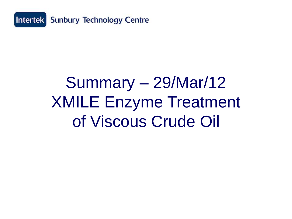

## Summary – 29/Mar/12 XMILE Enzyme Treatment of Viscous Crude Oil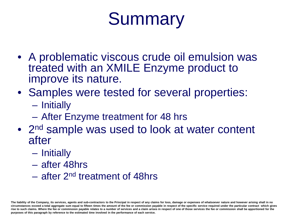# **Summary**

- A problematic viscous crude oil emulsion was treated with an XMILE Enzyme product to improve its nature.
- Samples were tested for several properties:
	- Initially
	- After Enzyme treatment for 48 hrs
- 2<sup>nd</sup> sample was used to look at water content after
	- Initially
	- after 48hrs
	- after 2nd treatment of 48hrs

**The liability of the Company, its services, agents and sub-contractors to the Principal in respect of any claims for loss, damage or expenses of whatsoever nature and however arising shall in no circumstances exceed a total aggregate sum equal to fifteen times the amount of the fee or commission payable in respect of the specific service required under the particular contract which gives rise to such claims. Where the fee or commission payable relates to a number of services and a claim arises in respect of one of those services the fee or commission shall be apportioned for the purposes of this paragraph by reference to the estimated time involved in the performance of each service.**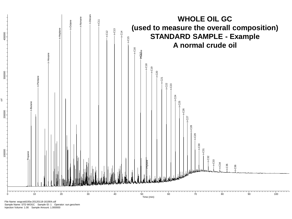

File Name: wogcstd100a-20120118-161904.cdf Sample Name: STD WOGC Sample ID: 1 Operator: sun.geochem

Injection Volume: 1.00 Sample Amount: 1.000000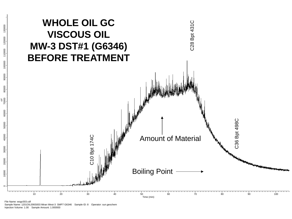

File Name: wogc003.cdf Sample Name: 1201OIL006S003 Miran West-3 SMP7 G6346 Sample ID: 8 Operator: sun.geochem Injection Volume: 1.00 Sample Amount: 1.000000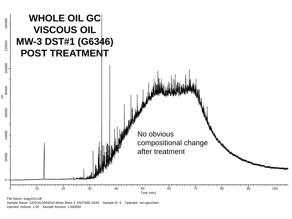

Sample Name: 1201OIL006S010 Miran West-3 ENZYME G634 Sample ID: 6 Operator: sun.geochem Injection Volume: 1.00 Sample Amount: 1.000000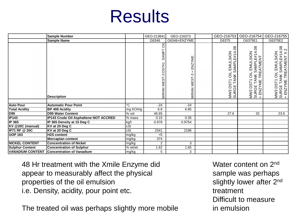### **Results**

|                         | <b>Sample Number</b>                  |                         | GEO-213841                        | GEO-216373             | GEO-216753                                                                                                       | GEO-216754                                                                                              | GEO-216755                                                                 |
|-------------------------|---------------------------------------|-------------------------|-----------------------------------|------------------------|------------------------------------------------------------------------------------------------------------------|---------------------------------------------------------------------------------------------------------|----------------------------------------------------------------------------|
|                         | <b>Sample Name</b>                    |                         | G6346                             | G6346+ENZYME           | G6375                                                                                                            | G6375E1                                                                                                 | G6375E2                                                                    |
|                         | <b>Description</b>                    |                         | oц<br>SAMP7<br>MIRAN WEST-3 DST#1 | ENZYME<br>MIRAN WEST-3 | 8<br><b>SION</b><br>E#14.<br>SAMPLE#1<br>EMUL<br>$\overline{5}$<br><b>TANK</b><br><b>DST1</b><br>MW3 DS<br>SURGE | 4.08<br>EMULSION<br>NNK SAMPLE#14<br>∶TREATMENT<br>$\overline{5}$<br>MW3 DST1<br>SURGE TAN<br> + ENZYME | MW3 DST1 OIL EMULSION<br>SURGE TANK SAMPLE#14.08<br>+ ENZYME TREATMENT X 2 |
|                         |                                       |                         |                                   |                        |                                                                                                                  |                                                                                                         |                                                                            |
| <b>Auto Pour</b>        | <b>Automatic Pour Point</b>           | ъc                      | $-24$                             | $-24$                  |                                                                                                                  |                                                                                                         |                                                                            |
| <b>Total Acidity</b>    | <b>BP 408 Acidity</b>                 | mg KOH/g                | 6.8                               | 6.85                   |                                                                                                                  |                                                                                                         |                                                                            |
| <b>D95</b>              | <b>D95 Water Content</b>              | % vol                   | 46.65                             |                        | 27.6                                                                                                             | 32                                                                                                      | 23.6                                                                       |
| <b>IP143</b>            | IP143 Crude Oil Asphaltene NOT ACCRED | $%$ mass                | 0.15                              | 0.35                   |                                                                                                                  |                                                                                                         |                                                                            |
| <b>IP 365</b>           | IP 365 Density at 15 Deg C            | kg/l                    | 0.978                             | 0.9754                 |                                                                                                                  |                                                                                                         |                                                                            |
| KV @20C (manual)        | KV at 20 Deg C                        | $\overline{\text{cSt}}$ |                                   |                        |                                                                                                                  |                                                                                                         |                                                                            |
| <b>IP71 RF @ 20C</b>    | KV at 20 Deg C                        | cSt                     | 2341                              | 2196                   |                                                                                                                  |                                                                                                         |                                                                            |
| <b>UOP 163</b>          | <b>H2S</b> content                    | mg/kg                   | < 5                               |                        |                                                                                                                  |                                                                                                         |                                                                            |
|                         | Mercaptan content                     | mg/kg                   | 374                               |                        |                                                                                                                  |                                                                                                         |                                                                            |
| <b>NICKEL CONTENT</b>   | <b>Concentration of Nickel</b>        | mg/kg                   | $\overline{2}$                    | 3                      |                                                                                                                  |                                                                                                         |                                                                            |
| <b>Sulphur Content</b>  | <b>Concentration of Sulphur</b>       | % wt/wt                 | 1.62                              | 1.65                   |                                                                                                                  |                                                                                                         |                                                                            |
| <b>VANADIUM CONTENT</b> | <b>Concentration of Vanadium</b>      | mg/kg                   | 5                                 | 3                      |                                                                                                                  |                                                                                                         |                                                                            |

48 Hr treatment with the Xmile Enzyme did appear to measurably affect the physical properties of the oil emulsion i.e. Density, acidity, pour point etc.

The treated oil was perhaps slightly more mobile

Water content on 2<sup>nd</sup> sample was perhaps slightly lower after 2<sup>nd</sup> treatment Difficult to measure in emulsion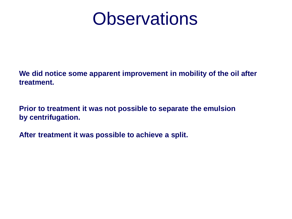### **Observations**

**We did notice some apparent improvement in mobility of the oil after treatment.**

**Prior to treatment it was not possible to separate the emulsion by centrifugation.**

**After treatment it was possible to achieve a split.**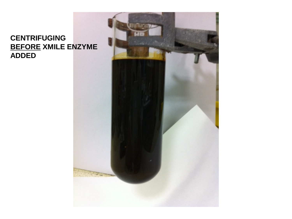#### **CENTRIFUGING BEFORE XMILE ENZYME ADDED**